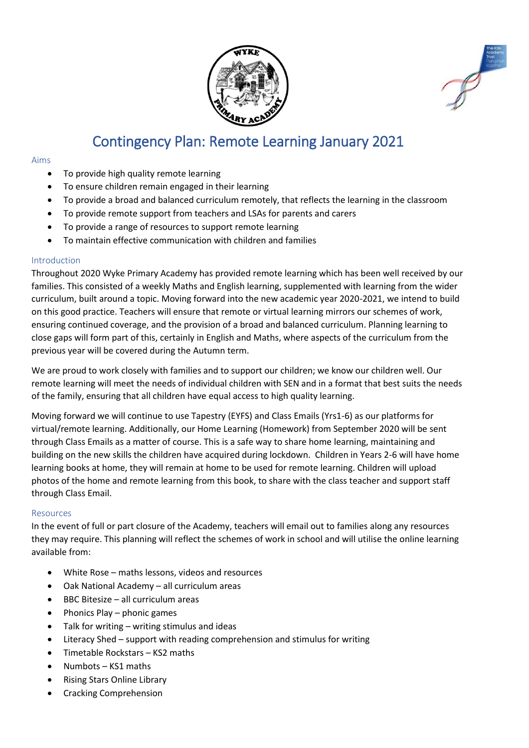

# Contingency Plan: Remote Learning January 2021

#### Aims

- To provide high quality remote learning
- To ensure children remain engaged in their learning
- To provide a broad and balanced curriculum remotely, that reflects the learning in the classroom
- To provide remote support from teachers and LSAs for parents and carers
- To provide a range of resources to support remote learning
- To maintain effective communication with children and families

#### Introduction

Throughout 2020 Wyke Primary Academy has provided remote learning which has been well received by our families. This consisted of a weekly Maths and English learning, supplemented with learning from the wider curriculum, built around a topic. Moving forward into the new academic year 2020-2021, we intend to build on this good practice. Teachers will ensure that remote or virtual learning mirrors our schemes of work, ensuring continued coverage, and the provision of a broad and balanced curriculum. Planning learning to close gaps will form part of this, certainly in English and Maths, where aspects of the curriculum from the previous year will be covered during the Autumn term.

We are proud to work closely with families and to support our children; we know our children well. Our remote learning will meet the needs of individual children with SEN and in a format that best suits the needs of the family, ensuring that all children have equal access to high quality learning.

Moving forward we will continue to use Tapestry (EYFS) and Class Emails (Yrs1-6) as our platforms for virtual/remote learning. Additionally, our Home Learning (Homework) from September 2020 will be sent through Class Emails as a matter of course. This is a safe way to share home learning, maintaining and building on the new skills the children have acquired during lockdown. Children in Years 2-6 will have home learning books at home, they will remain at home to be used for remote learning. Children will upload photos of the home and remote learning from this book, to share with the class teacher and support staff through Class Email.

### Resources

In the event of full or part closure of the Academy, teachers will email out to families along any resources they may require. This planning will reflect the schemes of work in school and will utilise the online learning available from:

- White Rose maths lessons, videos and resources
- Oak National Academy all curriculum areas
- BBC Bitesize all curriculum areas
- Phonics Play phonic games
- Talk for writing writing stimulus and ideas
- Literacy Shed support with reading comprehension and stimulus for writing
- Timetable Rockstars KS2 maths
- Numbots KS1 maths
- Rising Stars Online Library
- Cracking Comprehension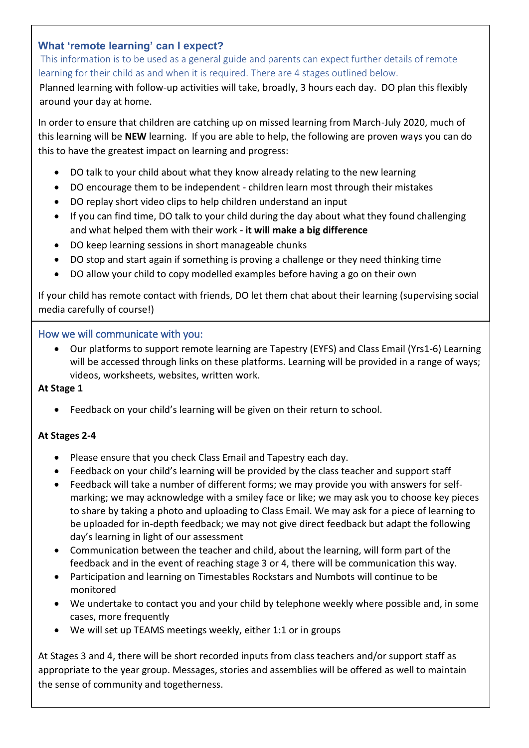# **What 'remote learning' can I expect?**

This information is to be used as a general guide and parents can expect further details of remote learning for their child as and when it is required. There are 4 stages outlined below.

Planned learning with follow-up activities will take, broadly, 3 hours each day. DO plan this flexibly around your day at home.

In order to ensure that children are catching up on missed learning from March-July 2020, much of this learning will be **NEW** learning. If you are able to help, the following are proven ways you can do this to have the greatest impact on learning and progress:

- DO talk to your child about what they know already relating to the new learning
- DO encourage them to be independent children learn most through their mistakes
- DO replay short video clips to help children understand an input
- If you can find time, DO talk to your child during the day about what they found challenging and what helped them with their work - **it will make a big difference**
- DO keep learning sessions in short manageable chunks
- DO stop and start again if something is proving a challenge or they need thinking time
- DO allow your child to copy modelled examples before having a go on their own

If your child has remote contact with friends, DO let them chat about their learning (supervising social media carefully of course!)

## How we will communicate with you:

• Our platforms to support remote learning are Tapestry (EYFS) and Class Email (Yrs1-6) Learning will be accessed through links on these platforms. Learning will be provided in a range of ways; videos, worksheets, websites, written work.

### **At Stage 1**

• Feedback on your child's learning will be given on their return to school.

# **At Stages 2-4**

- Please ensure that you check Class Email and Tapestry each day.
- Feedback on your child's learning will be provided by the class teacher and support staff
- Feedback will take a number of different forms; we may provide you with answers for selfmarking; we may acknowledge with a smiley face or like; we may ask you to choose key pieces to share by taking a photo and uploading to Class Email. We may ask for a piece of learning to be uploaded for in-depth feedback; we may not give direct feedback but adapt the following day's learning in light of our assessment
- Communication between the teacher and child, about the learning, will form part of the feedback and in the event of reaching stage 3 or 4, there will be communication this way.
- Participation and learning on Timestables Rockstars and Numbots will continue to be monitored
- We undertake to contact you and your child by telephone weekly where possible and, in some cases, more frequently
- We will set up TEAMS meetings weekly, either 1:1 or in groups

At Stages 3 and 4, there will be short recorded inputs from class teachers and/or support staff as appropriate to the year group. Messages, stories and assemblies will be offered as well to maintain the sense of community and togetherness.

Wyke Primary: Learning at home, learning at school; socially distanced, emotionally close.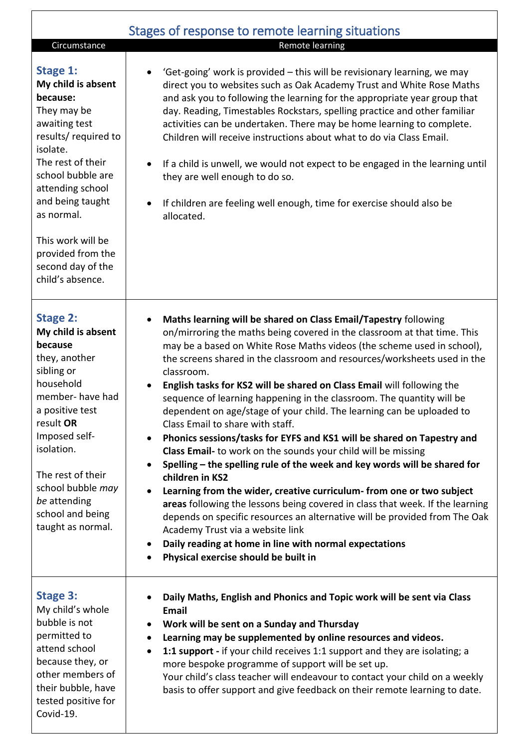|                                                                                                                                                                                                                                                                                    | Stages of response to remote learning situations                                                                                                                                                                                                                                                                                                                                                                                                                                                                                                                                                                                                                                                                                                                                                                                                                                                                                                                                                                                                                                                                                                                                                                                        |
|------------------------------------------------------------------------------------------------------------------------------------------------------------------------------------------------------------------------------------------------------------------------------------|-----------------------------------------------------------------------------------------------------------------------------------------------------------------------------------------------------------------------------------------------------------------------------------------------------------------------------------------------------------------------------------------------------------------------------------------------------------------------------------------------------------------------------------------------------------------------------------------------------------------------------------------------------------------------------------------------------------------------------------------------------------------------------------------------------------------------------------------------------------------------------------------------------------------------------------------------------------------------------------------------------------------------------------------------------------------------------------------------------------------------------------------------------------------------------------------------------------------------------------------|
| Circumstance                                                                                                                                                                                                                                                                       | Remote learning                                                                                                                                                                                                                                                                                                                                                                                                                                                                                                                                                                                                                                                                                                                                                                                                                                                                                                                                                                                                                                                                                                                                                                                                                         |
| <b>Stage 1:</b><br>My child is absent<br>because:<br>They may be<br>awaiting test<br>results/required to<br>isolate.<br>The rest of their<br>school bubble are<br>attending school<br>and being taught<br>as normal.                                                               | 'Get-going' work is provided - this will be revisionary learning, we may<br>direct you to websites such as Oak Academy Trust and White Rose Maths<br>and ask you to following the learning for the appropriate year group that<br>day. Reading, Timestables Rockstars, spelling practice and other familiar<br>activities can be undertaken. There may be home learning to complete.<br>Children will receive instructions about what to do via Class Email.<br>If a child is unwell, we would not expect to be engaged in the learning until<br>they are well enough to do so.<br>If children are feeling well enough, time for exercise should also be<br>allocated.                                                                                                                                                                                                                                                                                                                                                                                                                                                                                                                                                                  |
| This work will be<br>provided from the<br>second day of the<br>child's absence.                                                                                                                                                                                                    |                                                                                                                                                                                                                                                                                                                                                                                                                                                                                                                                                                                                                                                                                                                                                                                                                                                                                                                                                                                                                                                                                                                                                                                                                                         |
| <b>Stage 2:</b><br>My child is absent<br>because<br>they, another<br>sibling or<br>household<br>member- have had<br>a positive test<br>result OR<br>Imposed self-<br>isolation.<br>The rest of their<br>school bubble may<br>be attending<br>school and being<br>taught as normal. | Maths learning will be shared on Class Email/Tapestry following<br>٠<br>on/mirroring the maths being covered in the classroom at that time. This<br>may be a based on White Rose Maths videos (the scheme used in school),<br>the screens shared in the classroom and resources/worksheets used in the<br>classroom.<br>English tasks for KS2 will be shared on Class Email will following the<br>sequence of learning happening in the classroom. The quantity will be<br>dependent on age/stage of your child. The learning can be uploaded to<br>Class Email to share with staff.<br>Phonics sessions/tasks for EYFS and KS1 will be shared on Tapestry and<br>$\bullet$<br>Class Email- to work on the sounds your child will be missing<br>Spelling - the spelling rule of the week and key words will be shared for<br>children in KS2<br>Learning from the wider, creative curriculum- from one or two subject<br>areas following the lessons being covered in class that week. If the learning<br>depends on specific resources an alternative will be provided from The Oak<br>Academy Trust via a website link<br>Daily reading at home in line with normal expectations<br>$\bullet$<br>Physical exercise should be built in |
| <b>Stage 3:</b><br>My child's whole<br>bubble is not<br>permitted to<br>attend school<br>because they, or<br>other members of<br>their bubble, have<br>tested positive for<br>Covid-19.                                                                                            | Daily Maths, English and Phonics and Topic work will be sent via Class<br><b>Email</b><br>Work will be sent on a Sunday and Thursday<br>Learning may be supplemented by online resources and videos.<br>1:1 support - if your child receives 1:1 support and they are isolating; a<br>$\bullet$<br>more bespoke programme of support will be set up.<br>Your child's class teacher will endeavour to contact your child on a weekly<br>basis to offer support and give feedback on their remote learning to date.                                                                                                                                                                                                                                                                                                                                                                                                                                                                                                                                                                                                                                                                                                                       |